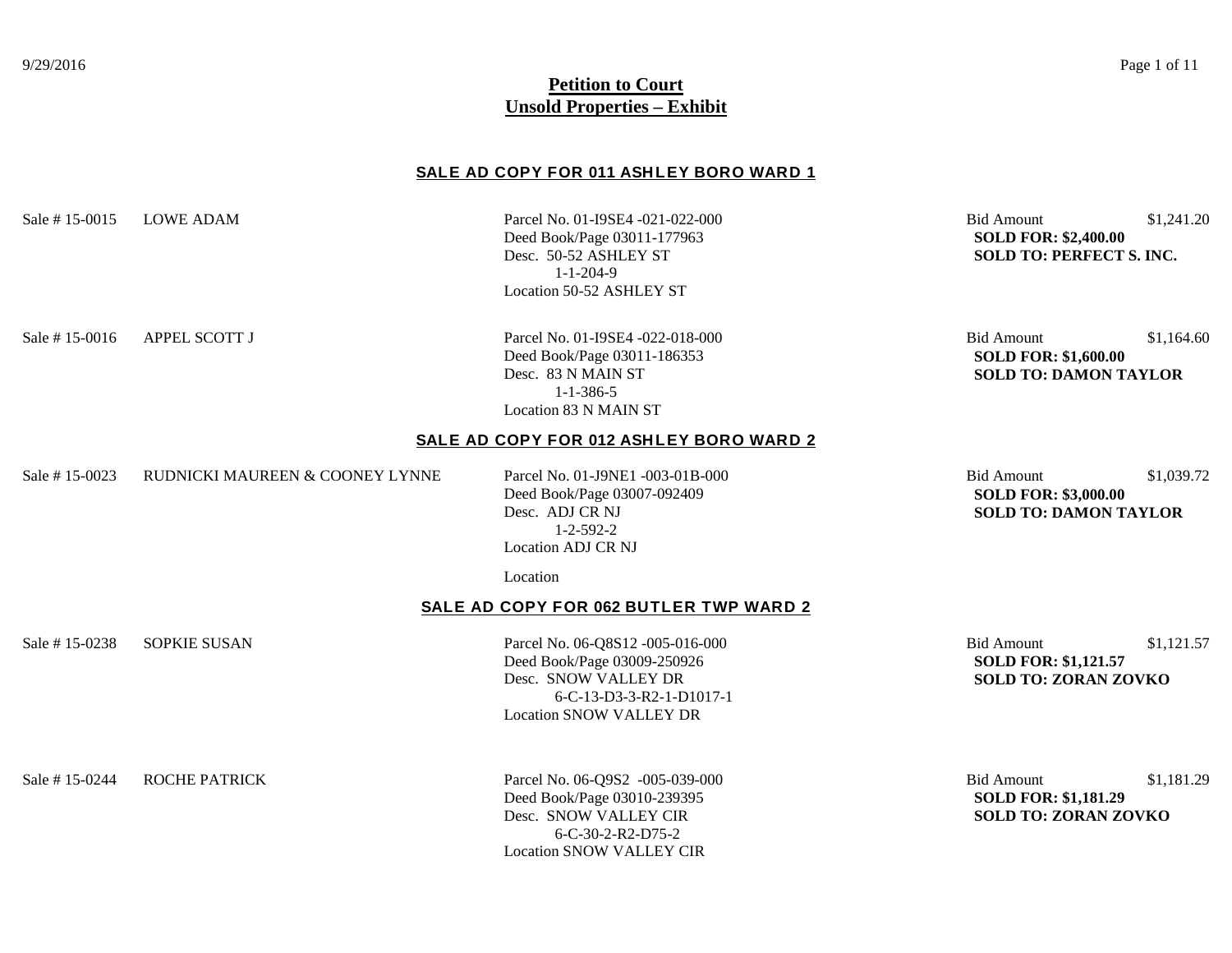#### 9/29/2016 Page 1 of 11

# **Petition to Court Unsold Properties – Exhibit**

## **SALE AD COPY FOR 011 ASHLEY BORO WARD 1**

| <b>LOWE ADAM</b>                | Parcel No. 01-I9SE4 -021-022-000<br>Deed Book/Page 03011-177963<br>Desc. 50-52 ASHLEY ST<br>$1 - 1 - 204 - 9$<br>Location 50-52 ASHLEY ST             | <b>Bid Amount</b><br><b>SOLD FOR: \$2,400.00</b><br><b>SOLD TO: PERFECT S. INC.</b> | \$1,241.20 |
|---------------------------------|-------------------------------------------------------------------------------------------------------------------------------------------------------|-------------------------------------------------------------------------------------|------------|
| <b>APPEL SCOTT J</b>            | Parcel No. 01-I9SE4 -022-018-000<br>Deed Book/Page 03011-186353<br>Desc. 83 N MAIN ST<br>$1 - 1 - 386 - 5$<br>Location 83 N MAIN ST                   | <b>Bid Amount</b><br><b>SOLD FOR: \$1,600.00</b><br><b>SOLD TO: DAMON TAYLOR</b>    | \$1,164.60 |
|                                 |                                                                                                                                                       |                                                                                     |            |
| RUDNICKI MAUREEN & COONEY LYNNE | Parcel No. 01-J9NE1 -003-01B-000<br>Deed Book/Page 03007-092409<br>Desc. ADJ CR NJ<br>$1 - 2 - 592 - 2$<br>Location ADJ CR NJ                         | <b>Bid Amount</b><br><b>SOLD FOR: \$3,000.00</b><br><b>SOLD TO: DAMON TAYLOR</b>    | \$1,039.72 |
|                                 | Location                                                                                                                                              |                                                                                     |            |
|                                 |                                                                                                                                                       |                                                                                     |            |
| <b>SOPKIE SUSAN</b>             | Parcel No. 06-Q8S12 -005-016-000<br>Deed Book/Page 03009-250926<br>Desc. SNOW VALLEY DR<br>6-C-13-D3-3-R2-1-D1017-1<br><b>Location SNOW VALLEY DR</b> | <b>Bid Amount</b><br><b>SOLD FOR: \$1,121.57</b><br><b>SOLD TO: ZORAN ZOVKO</b>     | \$1,121.57 |
|                                 |                                                                                                                                                       | SALE AD COPY FOR 012 ASHLEY BORO WARD 2<br>SALE AD COPY FOR 062 BUTLER TWP WARD 2   |            |

Deed Book/Page 03010-239395<br>Desc. SNOW VALLEY CIR 6-C-30-2-R2-D75-2 Location SNOW VALLEY CIR

Sale # 15-0244 ROCHE PATRICK Parcel No. 06-Q9S2 -005-039-000 Bid Amount \$1,181.29<br>Deed Book/Page 03010-239395 SOLD FOR: \$1,181.29 **SOLD TO: ZORAN ZOVKO**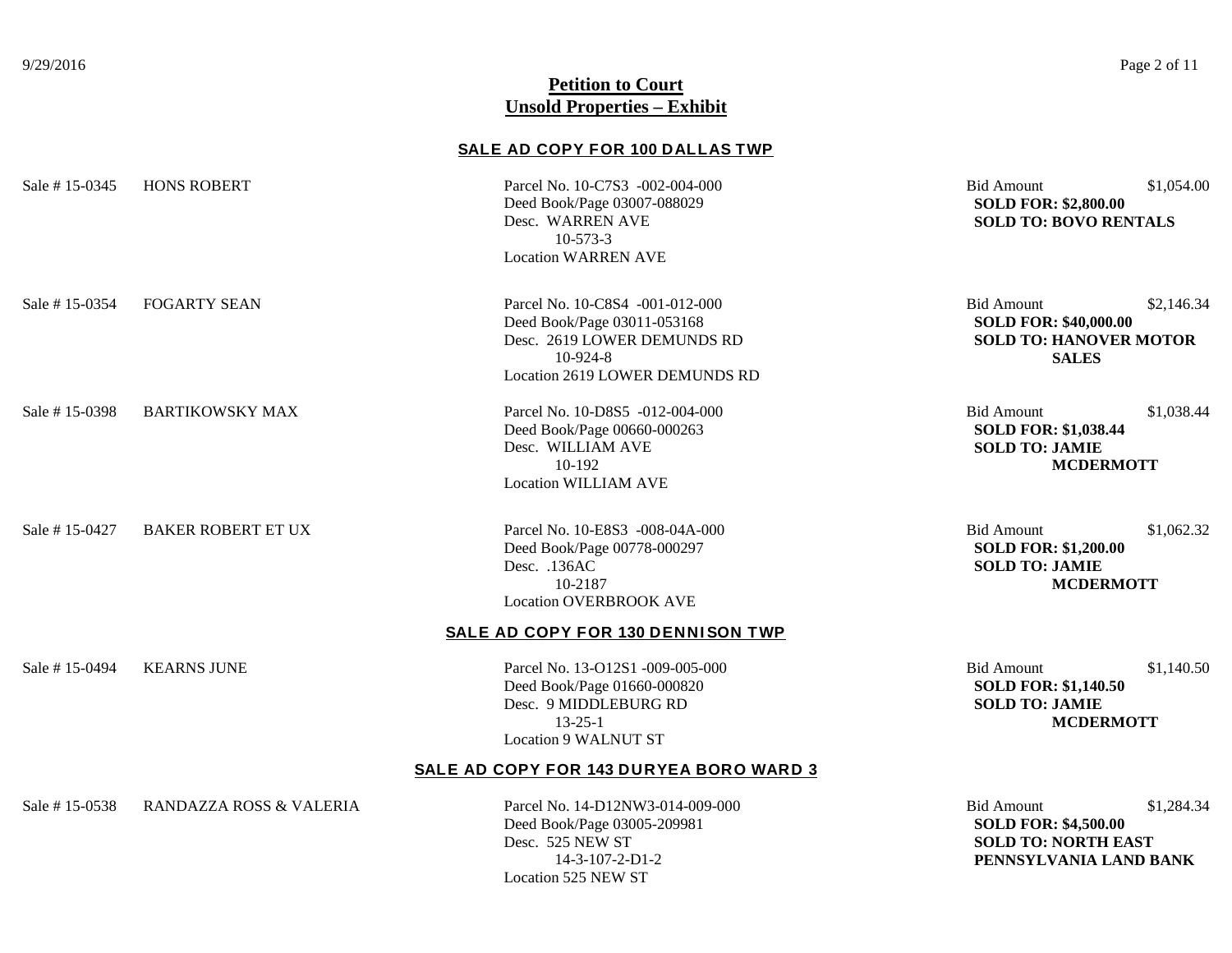# **SALE AD COPY FOR 100 DALLAS TWP**

| Sale #15-0345 | <b>HONS ROBERT</b>        | Parcel No. 10-C7S3 -002-004-000<br>Deed Book/Page 03007-088029<br>Desc. WARREN AVE<br>$10-573-3$<br><b>Location WARREN AVE</b>                | <b>Bid Amount</b><br><b>SOLD FOR: \$2,800.00</b><br><b>SOLD TO: BOVO RENTALS</b>                   | \$1,054.00 |
|---------------|---------------------------|-----------------------------------------------------------------------------------------------------------------------------------------------|----------------------------------------------------------------------------------------------------|------------|
| Sale #15-0354 | <b>FOGARTY SEAN</b>       | Parcel No. 10-C8S4 -001-012-000<br>Deed Book/Page 03011-053168<br>Desc. 2619 LOWER DEMUNDS RD<br>$10-924-8$<br>Location 2619 LOWER DEMUNDS RD | <b>Bid Amount</b><br><b>SOLD FOR: \$40,000.00</b><br><b>SOLD TO: HANOVER MOTOR</b><br><b>SALES</b> | \$2,146.34 |
| Sale #15-0398 | <b>BARTIKOWSKY MAX</b>    | Parcel No. 10-D8S5 -012-004-000<br>Deed Book/Page 00660-000263<br>Desc. WILLIAM AVE<br>10-192<br><b>Location WILLIAM AVE</b>                  | <b>Bid Amount</b><br><b>SOLD FOR: \$1,038.44</b><br><b>SOLD TO: JAMIE</b><br><b>MCDERMOTT</b>      | \$1,038.44 |
| Sale #15-0427 | <b>BAKER ROBERT ET UX</b> | Parcel No. 10-E8S3 -008-04A-000<br>Deed Book/Page 00778-000297<br>Desc. .136AC<br>10-2187<br><b>Location OVERBROOK AVE</b>                    | <b>Bid Amount</b><br><b>SOLD FOR: \$1,200.00</b><br><b>SOLD TO: JAMIE</b><br><b>MCDERMOTT</b>      | \$1,062.32 |
|               |                           | <b>SALE AD COPY FOR 130 DENNISON TWP</b>                                                                                                      |                                                                                                    |            |
| Sale #15-0494 | <b>KEARNS JUNE</b>        | Parcel No. 13-O12S1 -009-005-000<br>Deed Book/Page 01660-000820<br>Desc. 9 MIDDLEBURG RD<br>$13 - 25 - 1$<br><b>Location 9 WALNUT ST</b>      | <b>Bid Amount</b><br><b>SOLD FOR: \$1,140.50</b><br><b>SOLD TO: JAMIE</b><br><b>MCDERMOTT</b>      | \$1,140.50 |
|               |                           | <b>SALE AD COPY FOR 143 DURYEA BORO WARD 3</b>                                                                                                |                                                                                                    |            |
| Sale #15-0538 | RANDAZZA ROSS & VALERIA   | Parcel No. 14-D12NW3-014-009-000<br>Deed Book/Page 03005-209981<br>Desc. 525 NEW ST                                                           | <b>Bid Amount</b><br><b>SOLD FOR: \$4,500.00</b><br><b>SOLD TO: NORTH EAST</b>                     | \$1,284.34 |

Location 525 NEW ST

14-3-107-2-D1-2 **PENNSYLVANIA LAND BANK**

9/29/2016 Page 2 of 11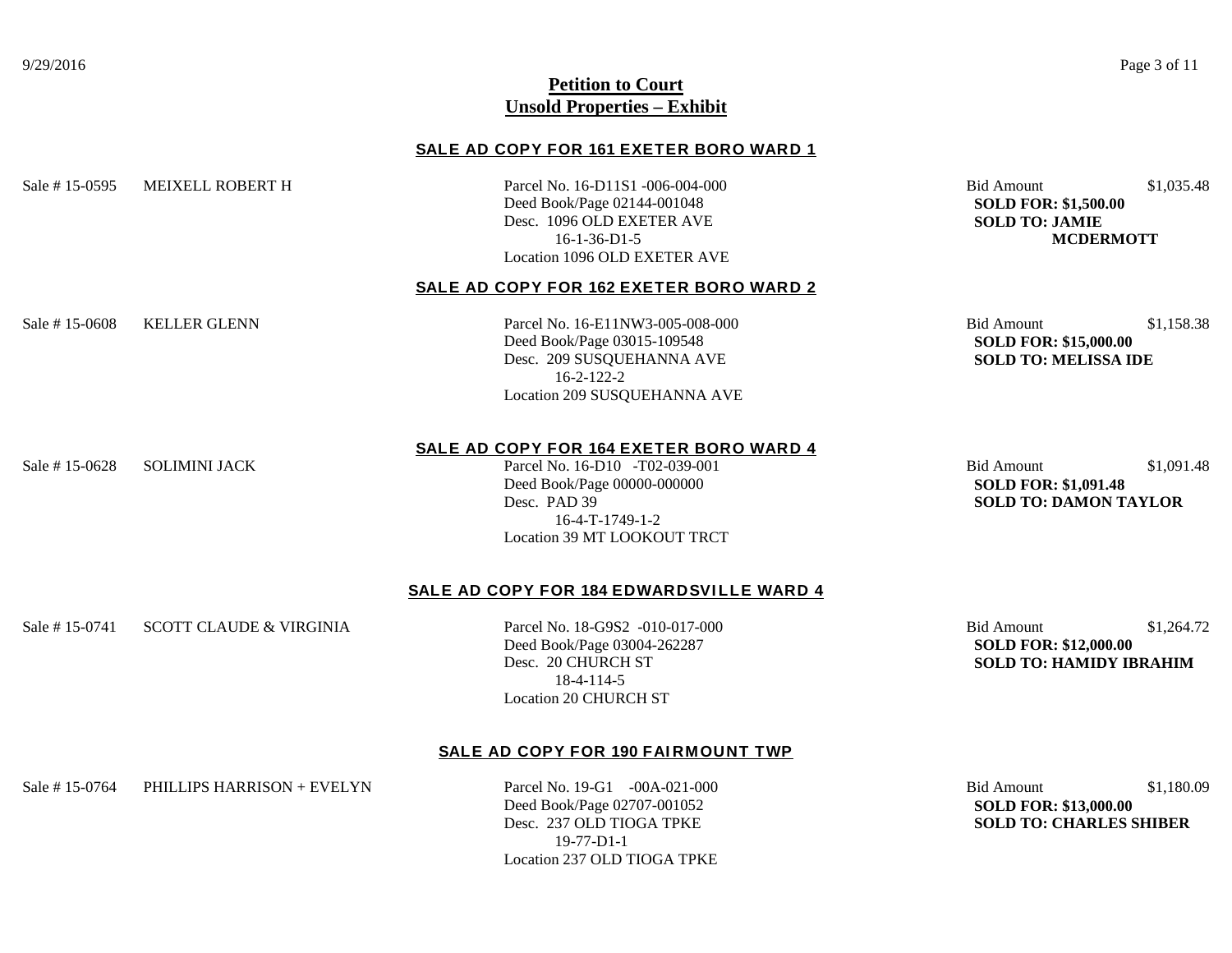#### **SALE AD COPY FOR 161 EXETER BORO WARD 1**

Sale # 15-0595 MEIXELL ROBERT H Parcel No. 16-D11S1 -006-004-000 Bid Amount \$1,035.48

Deed Book/Page 02144-001048 **SOLD FOR: \$1,500.00** Desc. 1096 OLD EXETER AVE **SOLD TO: JAMIE** Location 1096 OLD EXETER AVE

16-1-36-D1-5 **MCDERMOTT**

## **SALE AD COPY FOR 162 EXETER BORO WARD 2**

Deed Book/Page 03015-109548 **SOLD FOR: \$15,000.00** Desc. 209 SUSQUEHANNA AVE **SOLD TO: MELISSA IDE** 16-2-122-2 Location 209 SUSQUEHANNA AVE

Sale # 15-0608 KELLER GLENN **Parcel No. 16-E11NW3-005-008-000** Bid Amount \$1,158.38

Sale # 15-0628 SOLIMINI JACK Parcel No. 16-D10 -T02-039-001 Bid Amount \$1,091.48

**SALE AD COPY FOR 164 EXETER BORO WARD 4**

Deed Book/Page 00000-000000 **SOLD FOR: \$1,091.48** Desc. PAD 39 **SOLD TO: DAMON TAYLOR** 16-4-T-1749-1-2 Location 39 MT LOOKOUT TRCT

## **SALE AD COPY FOR 184 EDWARDSVILLE WARD 4**

Sale # 15-0741 SCOTT CLAUDE & VIRGINIA  $P$ arcel No. 18-G9S2 -010-017-000 Bid Amount \$1,264.72

Deed Book/Page 03004-262287 **SOLD FOR: \$12,000.00** 18-4-114-5 Location 20 CHURCH ST

Desc. 20 CHURCH ST **SOLD TO: HAMIDY IBRAHIM**

#### **SALE AD COPY FOR 190 FAIRMOUNT TWP**

Sale # 15-0764 PHILLIPS HARRISON + EVELYN Parcel No. 19-G1 -00A-021-000 Bid Amount \$1,180.09

Deed Book/Page 02707-001052 **SOLD FOR: \$13,000.00** 19-77-D1-1 Location 237 OLD TIOGA TPKE

Desc. 237 OLD TIOGA TPKE **SOLD TO: CHARLES SHIBER**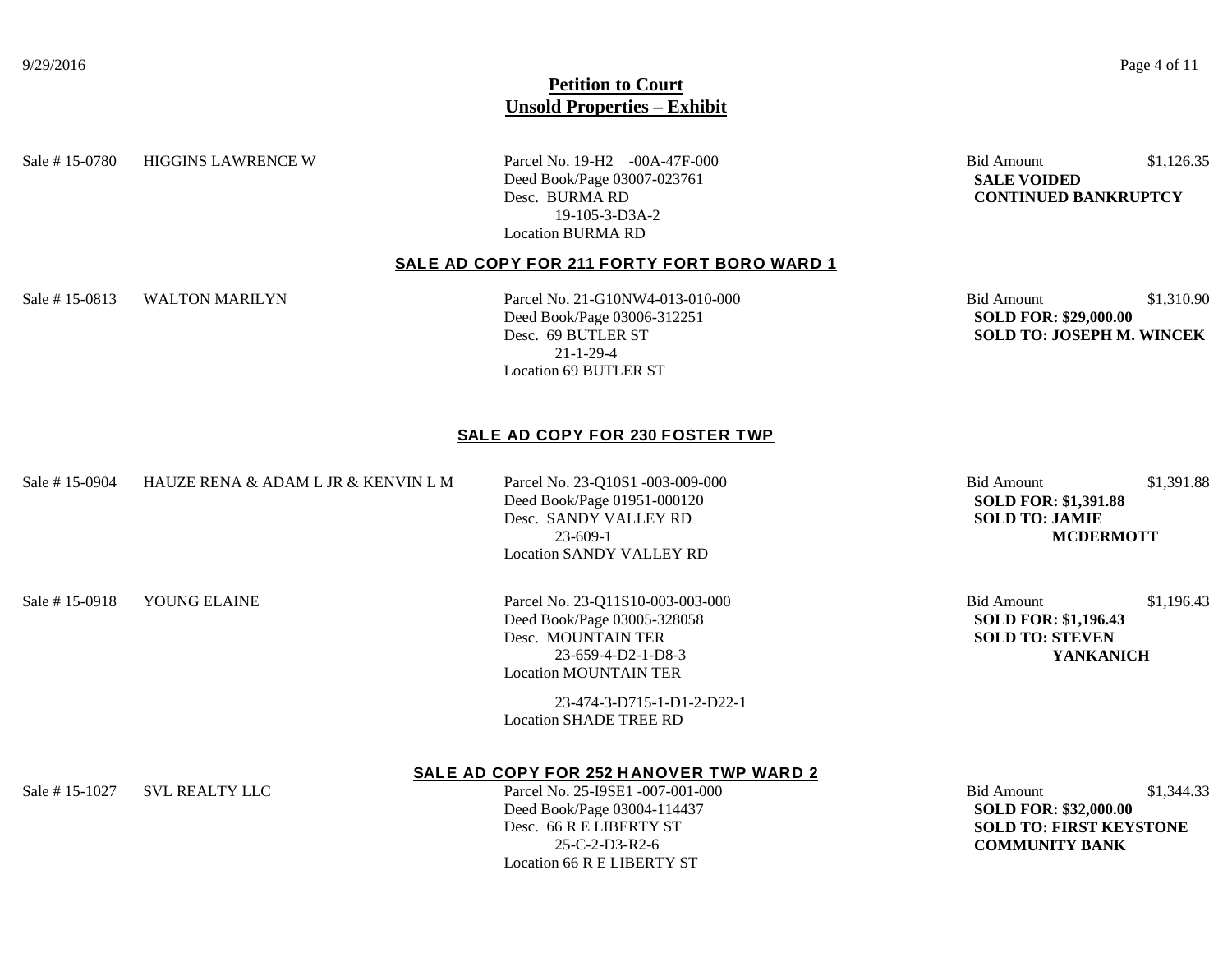Sale # 15-0780 HIGGINS LAWRENCE W Parcel No. 19-H2 -00A-47F-000 Bid Amount \$1,126.35

Deed Book/Page 03007-023761 **SALE VOIDED** Desc. BURMA RD **CONTINUED BANKRUPTCY**  19-105-3-D3A-2 Location BURMA RD

# **SALE AD COPY FOR 211 FORTY FORT BORO WARD 1**

Sale # 15-0813 WALTON MARILYN Parcel No. 21-G10NW4-013-010-000 Bid Amount \$1,310.90

Deed Book/Page 03006-312251 **SOLD FOR: \$29,000.00** 21-1-29-4 Location 69 BUTLER ST

Desc. 69 BUTLER ST **SOLD TO: JOSEPH M. WINCEK**

#### **SALE AD COPY FOR 230 FOSTER TWP**

Sale # 15-0904 HAUZE RENA & ADAM L JR & KENVIN L M Parcel No. 23-010S1 -003-009-000 Bid Amount \$1,391.88

Deed Book/Page 01951-000120 **SOLD FOR: \$1,391.88** Desc. SANDY VALLEY RD **SOLD TO: JAMIE** Location SANDY VALLEY RD

23-609-1 **MCDERMOTT**

Sale # 15-0918 YOUNG ELAINE Parcel No. 23-Q11S10-003-003-000 Bid Amount \$1,196.43 Deed Book/Page 03005-328058 **SOLD FOR: \$1,196.43** Desc. MOUNTAIN TER **SOLD TO: STEVEN** Location MOUNTAIN TER

> 23-474-3-D715-1-D1-2-D22-1 Location SHADE TREE RD

23-659-4-D2-1-D8-3 **YANKANICH**

#### **SALE AD COPY FOR 252 HANOVER TWP WARD 2**

Deed Book/Page 03004-114437 **SOLD FOR: \$32,000.00** 25-C-2-D3-R2-6 **COMMUNITY BANK** Location 66 R E LIBERTY ST

Sale # 15-1027 SVL REALTY LLC Parcel No. 25-I9SE1 -007-001-000 Bid Amount \$1,344.33 Desc. 66 R E LIBERTY ST **SOLD TO: FIRST KEYSTONE**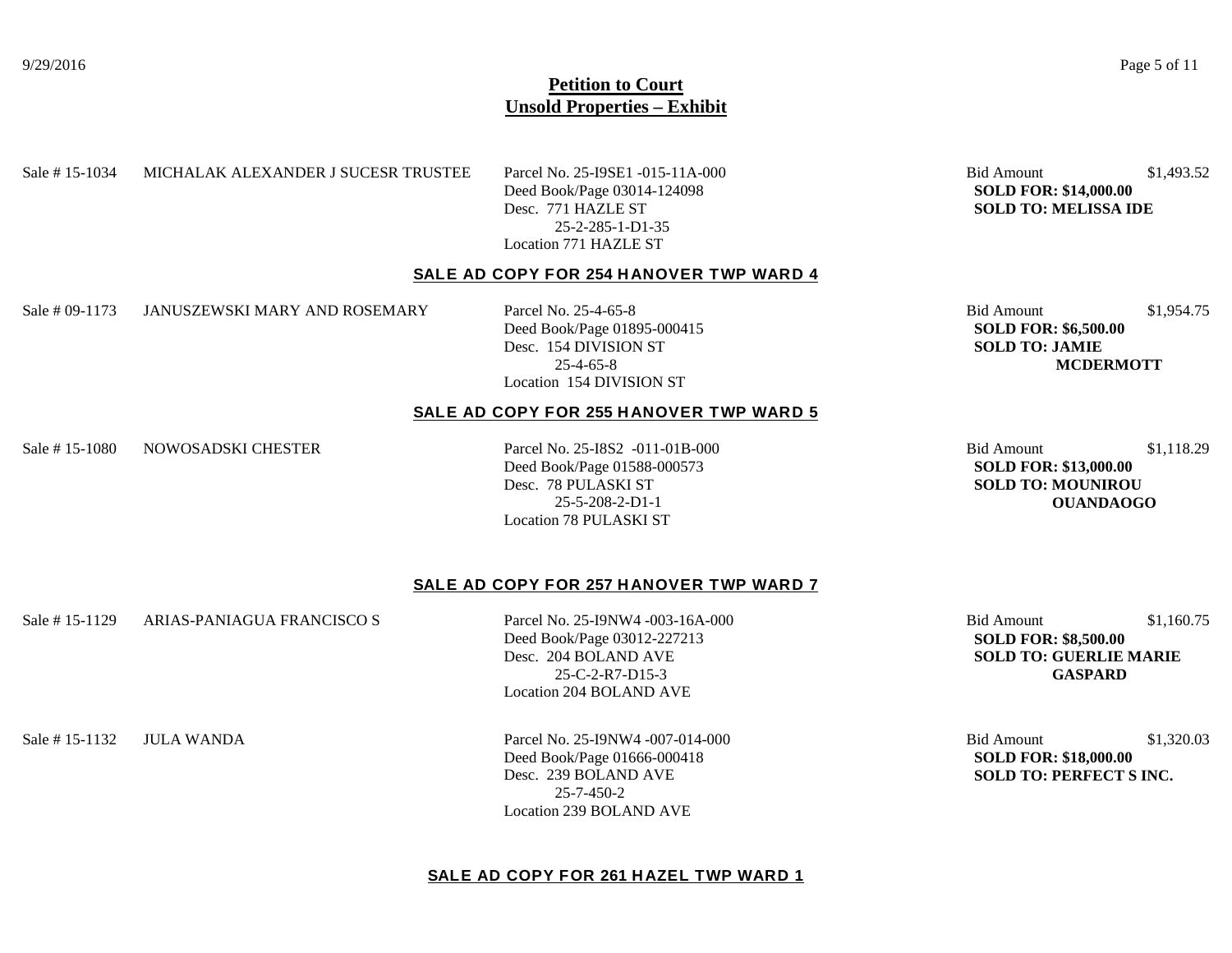#### 9/29/2016 Page 5 of 11

# **Petition to Court Unsold Properties – Exhibit**

#### Sale # 15-1034 MICHALAK ALEXANDER J SUCESR TRUSTEE Parcel No. 25-I9SE1 -015-11A-000 Bid Amount \$1,493.52

Deed Book/Page 03014-124098 **SOLD FOR: \$14,000.00** Desc. 771 HAZLE ST **SOLD TO: MELISSA IDE** 25-2-285-1-D1-35 Location 771 HAZLE ST

#### **SALE AD COPY FOR 254 HANOVER TWP WARD 4**

Sale # 09-1173 JANUSZEWSKI MARY AND ROSEMARY Parcel No. 25-4-65-8 Bid Amount \$1,954.75

Deed Book/Page 01895-000415 **SOLD FOR: \$6,500.00** Desc. 154 DIVISION ST **SOLD TO: JAMIE** Location 154 DIVISION ST

#### **SALE AD COPY FOR 255 HANOVER TWP WARD 5**

Sale # 15-1080 NOWOSADSKI CHESTER Parcel No. 25-I8S2 -011-01B-000 Bid Amount \$1,118.29

Deed Book/Page 01588-000573 **SOLD FOR: \$13,000.00** Desc. 78 PULASKI ST **SOLD TO: MOUNIROU**  Location 78 PULASKI ST

25-4-65-8 **MCDERMOTT**

25-5-208-2-D1-1 **OUANDAOGO**

## **SALE AD COPY FOR 257 HANOVER TWP WARD 7**

Sale # 15-1129 ARIAS-PANIAGUA FRANCISCO S Parcel No. 25-J9NW4 -003-16A-000 Bid Amount \$1,160.75

Deed Book/Page 03012-227213 **SOLD FOR: \$8,500.00** 25-C-2-R7-D15-3 **GASPARD** Location 204 BOLAND AVE

**SOLD TO: GUERLIE MARIE** 

Sale # 15-1132 JULA WANDA  $P$ arcel No. 25-I9NW4 -007-014-000 Bid Amount \$1,320.03 Deed Book/Page 01666-000418 **SOLD FOR: \$18,000.00** Desc. 239 BOLAND AVE **SOLD TO: PERFECT S INC.** 25-7-450-2 Location 239 BOLAND AVE

# **SALE AD COPY FOR 261 HAZEL TWP WARD 1**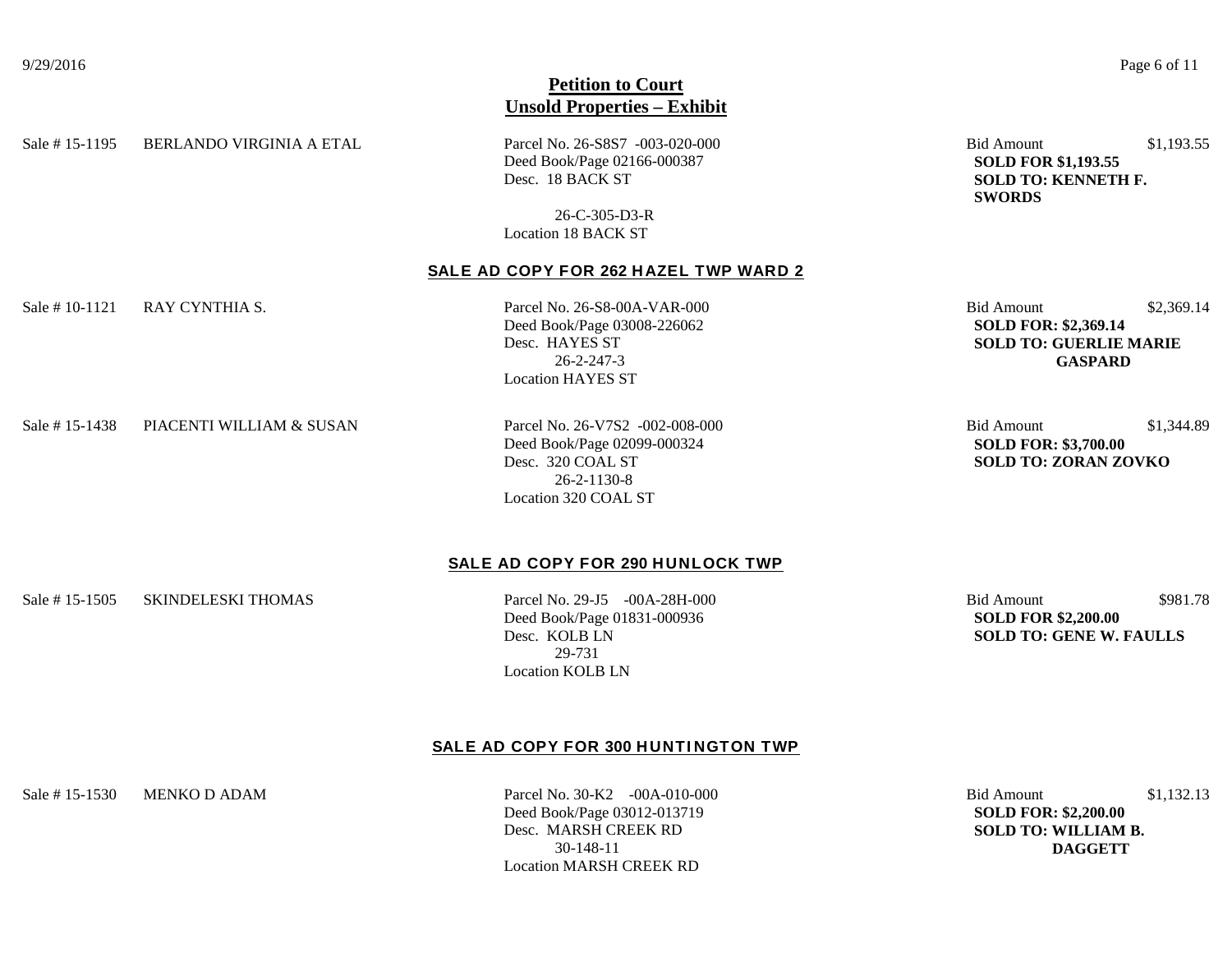Sale # 15-1195 BERLANDO VIRGINIA A ETAL Parcel No. 26-S8S7 -003-020-000 Bid Amount \$1,193.55

Deed Book/Page 02166-000387 **SOLD FOR \$1,193.55** Desc. 18 BACK ST **SOLD TO: KENNETH F.** 

26-C-305-D3-R Location 18 BACK ST

## **SALE AD COPY FOR 262 HAZEL TWP WARD 2**

Sale # 10-1121 RAY CYNTHIA S. 26-S9 Parcel No. 26-S8-00A-VAR-000 Bid Amount \$2,369.14

Deed Book/Page 03008-226062<br>Desc. HAYES ST **SOLD TO: GUERLIE** Location HAYES ST

**SOLD TO: GUERLIE MARIE** 26-2-247-3 **GASPARD**

**SWORDS**

Sale # 15-1438 PIACENTI WILLIAM & SUSAN Parcel No. 26-V7S2 -002-008-000 Bid Amount \$1,344.89

Deed Book/Page 02099-000324 **SOLD FOR: \$3,700.00** Desc. 320 COAL ST **SOLD TO: ZORAN ZOVKO** 26-2-1130-8 Location 320 COAL ST

# **SALE AD COPY FOR 290 HUNLOCK TWP**

Sale # 15-1505 SKINDELESKI THOMAS Parcel No. 29-J5 -00A-28H-000 Bid Amount \$981.78

Deed Book/Page 01831-000936 **SOLD FOR \$2,200.00** 29-731 Location KOLB LN

Desc. KOLB LN **SOLD TO: GENE W. FAULLS**

## **SALE AD COPY FOR 300 HUNTINGTON TWP**

Deed Book/Page 03012-013719 **SOLD FOR: \$2,200.00** Desc. MARSH CREEK RD **SOLD TO: WILLIAM B.**  30-148-11 **DAGGETT** Location MARSH CREEK RD

Sale # 15-1530 MENKO D ADAM Parcel No. 30-K2 -00A-010-000 Bid Amount \$1,132.13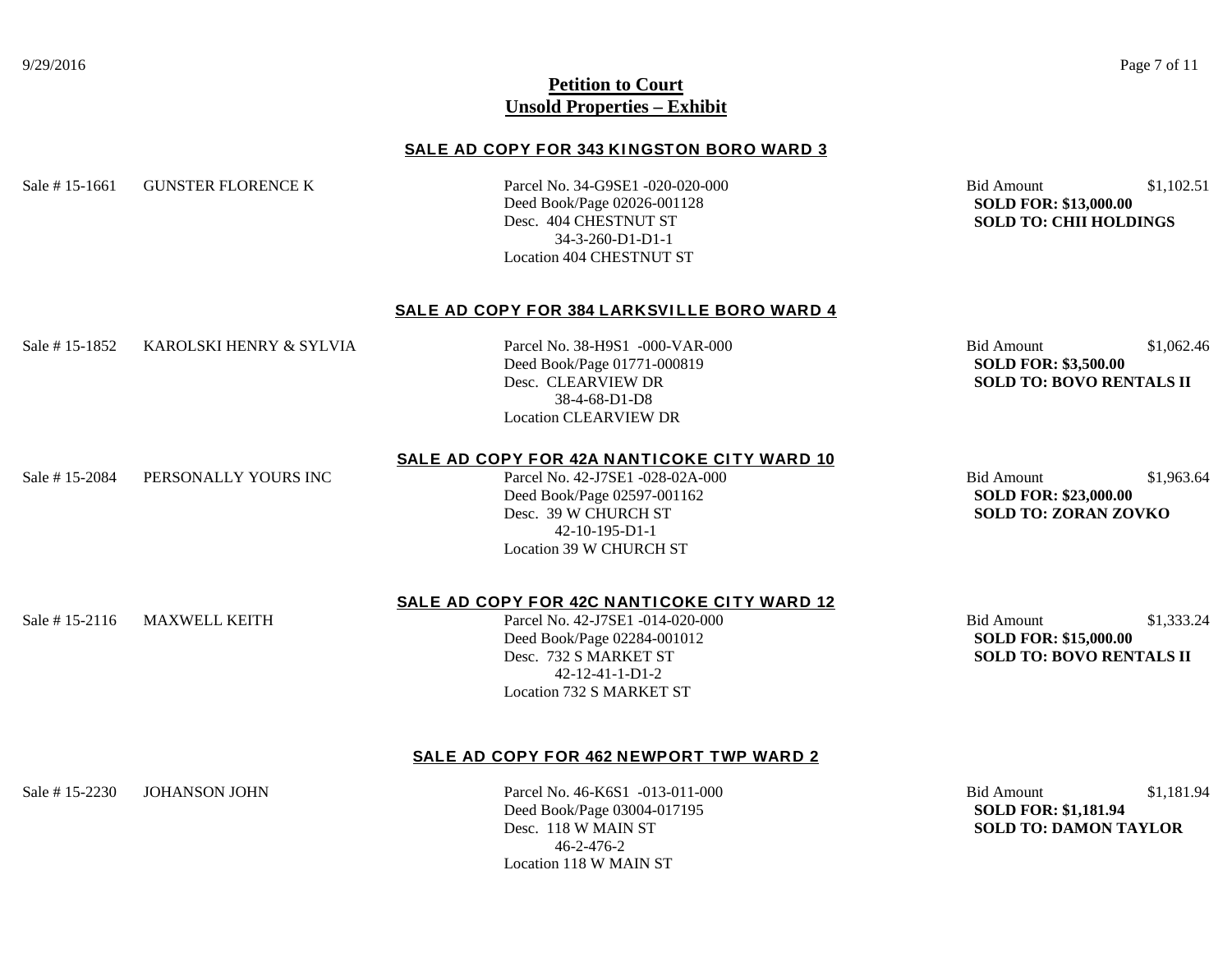#### **SALE AD COPY FOR 343 KI NGSTON BORO WARD 3**

Sale # 15-1661 GUNSTER FLORENCE K Parcel No. 34-G9SE1 -020-020-000 Bid Amount \$1,102.51

Deed Book/Page 02026-001128 **SOLD FOR: \$13,000.00** 34-3-260-D1-D1-1 Location 404 CHESTNUT ST

**SOLD TO: CHII HOLDINGS** 

#### **SALE AD COPY FOR 384 LARKSVILLE BORO WARD 4**

Sale # 15-1852 KAROLSKI HENRY & SYLVIA Parcel No. 38-H9S1 -000-VAR-000 Bid Amount \$1,062.46

Deed Book/Page 01771-000819 **SOLD FOR: \$3,500.00** 38-4-68-D1-D8 Location CLEARVIEW DR

Desc. CLEARVIEW DR **SOLD TO: BOVO RENTALS II**

## **SALE AD COPY FOR 42A NANTICOKE CITY WARD 10**

Sale # 15-2084 PERSONALLY YOURS INC Parcel No. 42-J7SE1 -028-02A-000 Bid Amount \$1,963.64

**Deed Book/Page 02597-001162 SOLD FOR: \$23,000.00**<br> **Desc. 39 W CHURCH ST** SOLD TO: ZORAN ZO 42-10-195-D1-1 Location 39 W CHURCH ST

**SOLD TO: ZORAN ZOVKO** 

Sale # 15-2116 MAXWELL KEITH Parcel No. 42-J7SE1 -014-020-000 Bid Amount \$1,333.24

#### **SALE AD COPY FOR 42C NANTICOKE CITY WARD 12**

Deed Book/Page 02284-001012 **SOLD FOR: \$15,000.00** 42-12-41-1-D1-2 Location 732 S MARKET ST

Desc. 732 S MARKET ST **SOLD TO: BOVO RENTALS II**

## **SALE AD COPY FOR 462 NEWPORT TWP WARD 2**

Deed Book/Page 03004-017195 **SOLD FOR: \$1,181.94** 46-2-476-2 Location 118 W MAIN ST

Sale # 15-2230 JOHANSON JOHN Parcel No. 46-K6S1 -013-011-000 Bid Amount \$1,181.94 **SOLD TO: DAMON TAYLOR**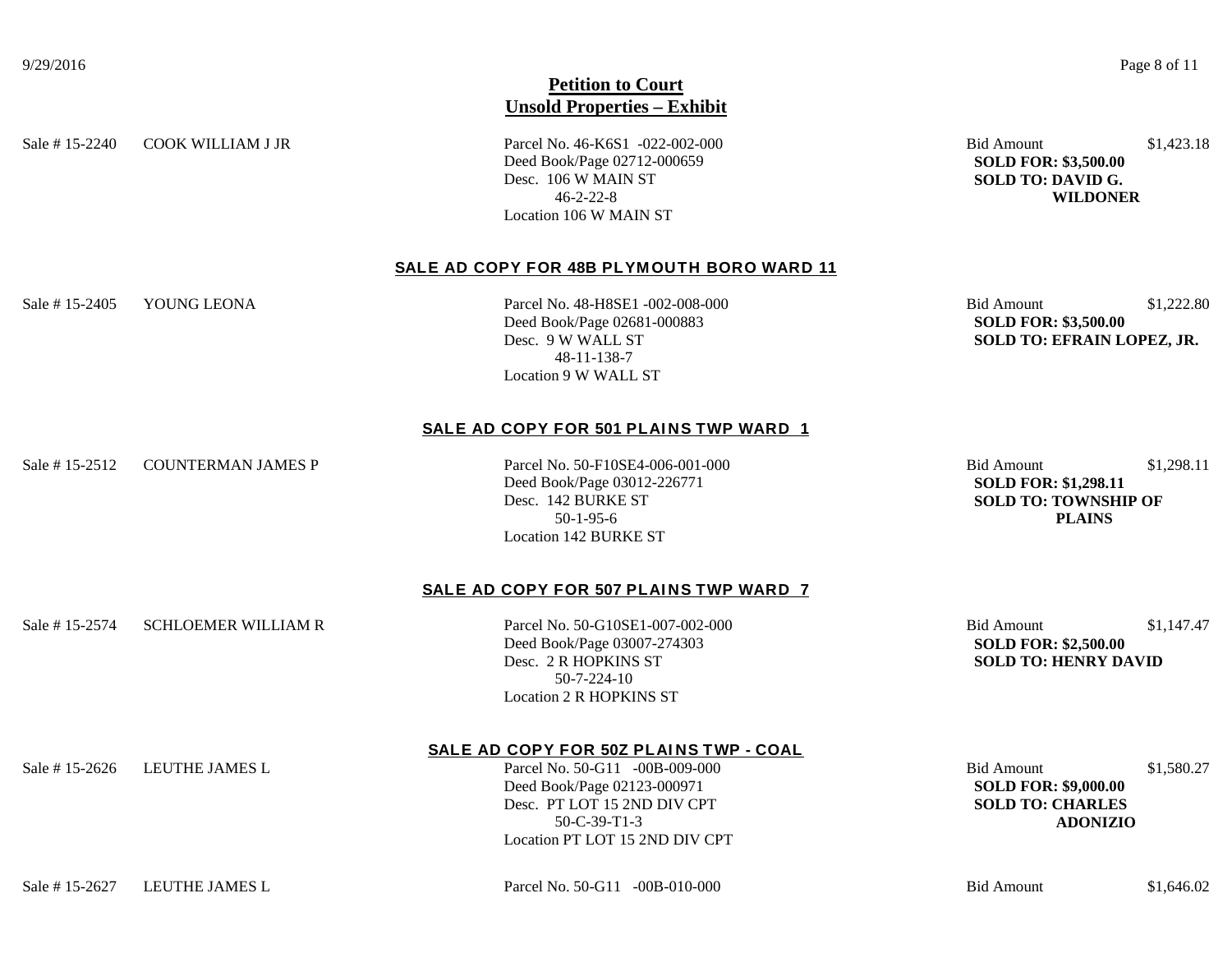Sale # 15-2240 COOK WILLIAM J JR Parcel No. 46-K6S1 -022-002-000 Bid Amount \$1,423.18

Deed Book/Page 02712-000659 **SOLD FOR: \$3,500.00** Desc. 106 W MAIN ST **SOLD TO: DAVID G.**<br>46-2-22-8 **WILDONE** Location 106 W MAIN ST

46-2-22-8 **WILDONER**

## **SALE AD COPY FOR 48B PLYMOUTH BORO WARD 11**

Sale # 15-2405 YOUNG LEONA Parcel No. 48-H8SE1 -002-008-000 Bid Amount \$1,222.80

Deed Book/Page 02681-000883 **SOLD FOR: \$3,500.00** 48-11-138-7 Location 9 W WALL ST

Desc. 9 W WALL ST **SOLD TO: EFRAIN LOPEZ, JR.**

## SALE AD COPY FOR 501 PLAINS TWP WARD 1

Sale # 15-2512 COUNTERMAN JAMES P Parcel No. 50-F10SE4-006-001-000 Bid Amount \$1,298.11

Deed Book/Page 03012-226771 **SOLD FOR: \$1,298.11** 50-1-95-6 **PLAINS** Location 142 BURKE ST

**SOLD TO: TOWNSHIP OF** 

## SALE AD COPY FOR 507 PLAINS TWP WARD 7

Sale # 15-2574 SCHLOEMER WILLIAM R Parcel No. 50-G10SE1-007-002-000 Bid Amount \$1,147.47

Deed Book/Page 03007-274303 **SOLD FOR: \$2,500.00** Desc. 2 R HOPKINS ST **SOLD TO: HENRY DAVID** 50-7-224-10 Location 2 R HOPKINS ST

# **SALE AD COPY FOR 50Z PLAI NS TWP - COAL**

Sale # 15-2626 LEUTHE JAMES L<br>  $Parcel No. 50-G11 -00B-009-000$  Bid Amount \$1,580.27 Deed Book/Page 02123-000971 **SOLD FOR: \$9,000.00** Desc. PT LOT 15 2ND DIV CPT **SOLD TO: CHARLES** 50-C-39-T1-3 **ADONIZIO** Location PT LOT 15 2ND DIV CPT

Sale # 15-2627 LEUTHE JAMES L Parcel No. 50-G11 -00B-010-000 Bid Amount \$1,646.02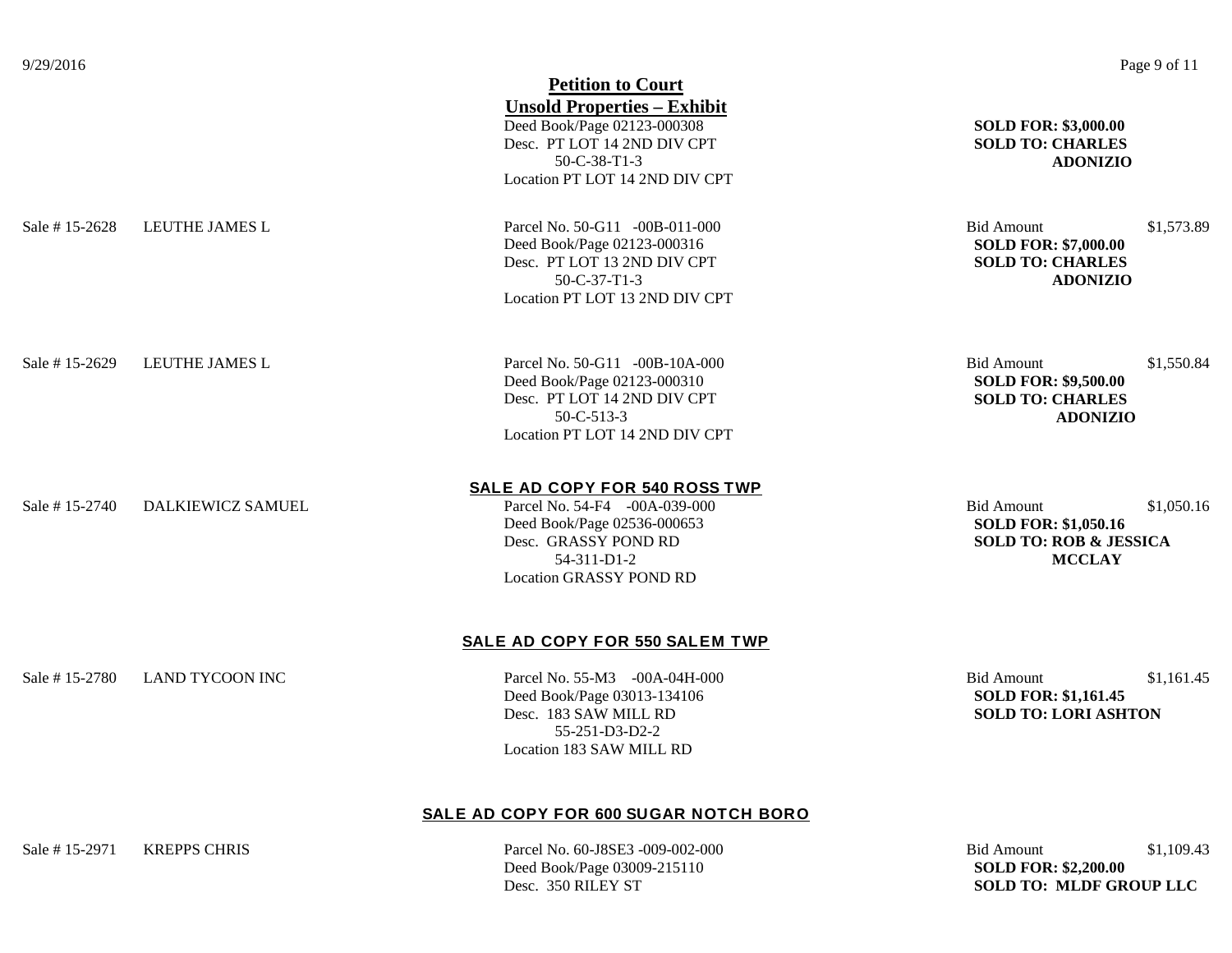|                        | <b>Petition to Court</b>                                                                                                                                               |                                                                                                                      |
|------------------------|------------------------------------------------------------------------------------------------------------------------------------------------------------------------|----------------------------------------------------------------------------------------------------------------------|
|                        | <b>Unsold Properties - Exhibit</b><br>Deed Book/Page 02123-000308<br>Desc. PT LOT 14 2ND DIV CPT<br>50-C-38-T1-3<br>Location PT LOT 14 2ND DIV CPT                     | <b>SOLD FOR: \$3,000.00</b><br><b>SOLD TO: CHARLES</b><br><b>ADONIZIO</b>                                            |
| LEUTHE JAMES L         | Parcel No. 50-G11 -00B-011-000<br>Deed Book/Page 02123-000316<br>Desc. PT LOT 13 2ND DIV CPT<br>$50 - C - 37 - T1 - 3$<br>Location PT LOT 13 2ND DIV CPT               | \$1,573.89<br><b>Bid Amount</b><br><b>SOLD FOR: \$7,000.00</b><br><b>SOLD TO: CHARLES</b><br><b>ADONIZIO</b>         |
| <b>LEUTHE JAMES L</b>  | Parcel No. 50-G11 -00B-10A-000<br>Deed Book/Page 02123-000310<br>Desc. PT LOT 14 2ND DIV CPT<br>50-C-513-3<br>Location PT LOT 14 2ND DIV CPT                           | <b>Bid Amount</b><br>\$1,550.84<br><b>SOLD FOR: \$9,500.00</b><br><b>SOLD TO: CHARLES</b><br><b>ADONIZIO</b>         |
| DALKIEWICZ SAMUEL      | SALE AD COPY FOR 540 ROSS TWP<br>Parcel No. 54-F4 -00A-039-000<br>Deed Book/Page 02536-000653<br>Desc. GRASSY POND RD<br>54-311-D1-2<br><b>Location GRASSY POND RD</b> | <b>Bid Amount</b><br>\$1,050.16<br><b>SOLD FOR: \$1,050.16</b><br><b>SOLD TO: ROB &amp; JESSICA</b><br><b>MCCLAY</b> |
|                        | SALE AD COPY FOR 550 SALEM TWP                                                                                                                                         |                                                                                                                      |
| <b>LAND TYCOON INC</b> | Parcel No. 55-M3 -00A-04H-000<br>Deed Book/Page 03013-134106<br>Desc. 183 SAW MILL RD<br>55-251-D3-D2-2<br>Location 183 SAW MILL RD                                    | <b>Bid Amount</b><br>\$1,161.45<br><b>SOLD FOR: \$1,161.45</b><br><b>SOLD TO: LORI ASHTON</b>                        |
|                        |                                                                                                                                                                        |                                                                                                                      |

# **SALE AD COPY FOR 600 SUGAR NOTCH BORO**

**Deed Book/Page 03009-215110 SOLD FOR: \$2,200.00 SOLD FOR: \$2,200.00 Desc. 350 RILEY ST** 

Sale # 15-2971 KREPPS CHRIS Parcel No. 60-J8SE3 -009-002-000 Bid Amount \$1,109.43 **SOLD TO: MLDF GROUP LLC**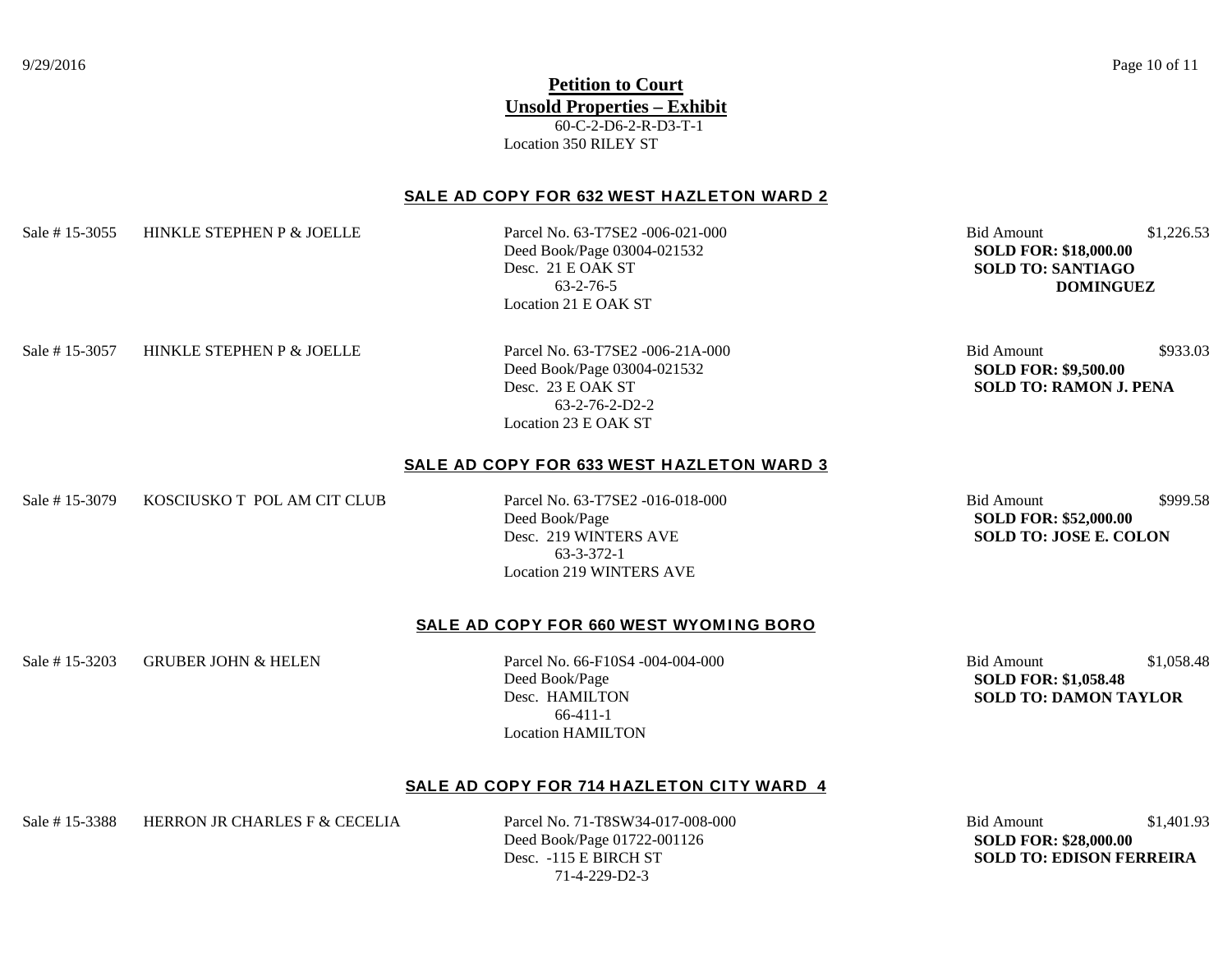# **Petition to Court Unsold Properties – Exhibit** 60-C-2-D6-2-R-D3-T-1 Location 350 RILEY ST

## **SALE AD COPY FOR 632 WEST HAZLETON WARD 2**

Sale # 15-3055 HINKLE STEPHEN P & JOELLE Parcel No. 63-T7SE2 -006-021-000 Bid Amount \$1,226.53

Deed Book/Page 03004-021532 **SOLD FOR: \$18,000.00** Location 21 E OAK ST

**SOLD TO: SANTIAGO** 63-2-76-5 **DOMINGUEZ**

Sale # 15-3057 HINKLE STEPHEN P & JOELLE Parcel No. 63-T7SE2 -006-21A-000 Bid Amount \$933.03

**Deed Book/Page 03004-021532 <br>Desc. 23 E OAK ST SOLD TO: RAMON J.** 63-2-76-2-D2-2 Location 23 E OAK ST

**SOLD TO: RAMON J. PENA** 

## **SALE AD COPY FOR 633 WEST HAZLETON WARD 3**

Sale # 15-3079 KOSCIUSKO T POL AM CIT CLUB Parcel No. 63-T7SE2 -016-018-000 Bid Amount \$999.58

Deed Book/Page **SOLD FOR: \$52,000.00** Desc. 219 WINTERS AVE **SOLD TO: JOSE E. COLON** 63-3-372-1 Location 219 WINTERS AVE

## **SALE AD COPY FOR 660 WEST WYOMING BORO**

Sale # 15-3203 GRUBER JOHN & HELEN Parcel No. 66-F10S4 -004-004-000 Bid Amount \$1,058.48

Deed Book/Page **SOLD FOR: \$1,058.48** 66-411-1 Location HAMILTON

Desc. HAMILTON **SOLD TO: DAMON TAYLOR**

## **SALE AD COPY FOR 714 HAZLETON CITY WARD 4**

Sale # 15-3388 HERRON JR CHARLES F & CECELIA Parcel No. 71-T8SW34-017-008-000 Bid Amount \$1,401.93

**Deed Book/Page 01722-001126 SOLD FOR: \$28,000.00**<br> **Desc. -115 E BIRCH ST** SOLD TO: **EDISON FE** 71-4-229-D2-3

**SOLD TO: EDISON FERREIRA**